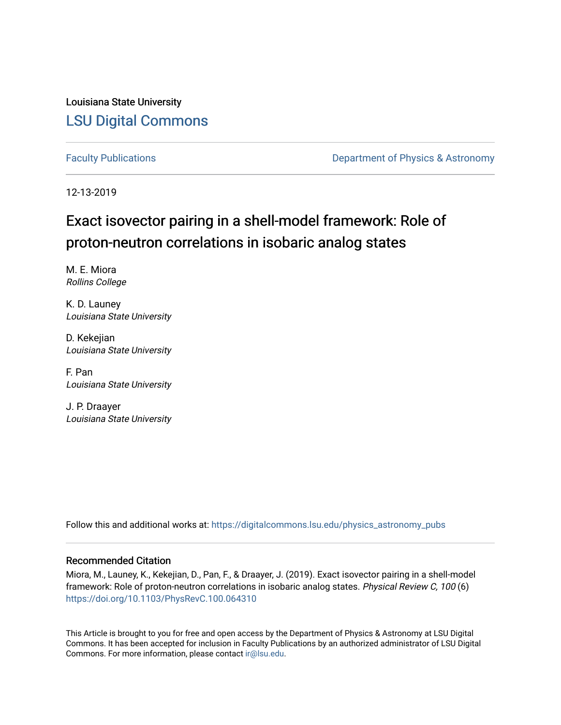Louisiana State University [LSU Digital Commons](https://digitalcommons.lsu.edu/)

[Faculty Publications](https://digitalcommons.lsu.edu/physics_astronomy_pubs) **Exercise 2 and Table 2 and Table 2 and Table 2 and Table 2 and Table 2 and Table 2 and Table 2 and Table 2 and Table 2 and Table 2 and Table 2 and Table 2 and Table 2 and Table 2 and Table 2 and Table** 

12-13-2019

# Exact isovector pairing in a shell-model framework: Role of proton-neutron correlations in isobaric analog states

M. E. Miora Rollins College

K. D. Launey Louisiana State University

D. Kekejian Louisiana State University

F. Pan Louisiana State University

J. P. Draayer Louisiana State University

Follow this and additional works at: [https://digitalcommons.lsu.edu/physics\\_astronomy\\_pubs](https://digitalcommons.lsu.edu/physics_astronomy_pubs?utm_source=digitalcommons.lsu.edu%2Fphysics_astronomy_pubs%2F1667&utm_medium=PDF&utm_campaign=PDFCoverPages) 

# Recommended Citation

Miora, M., Launey, K., Kekejian, D., Pan, F., & Draayer, J. (2019). Exact isovector pairing in a shell-model framework: Role of proton-neutron correlations in isobaric analog states. Physical Review C, 100 (6) <https://doi.org/10.1103/PhysRevC.100.064310>

This Article is brought to you for free and open access by the Department of Physics & Astronomy at LSU Digital Commons. It has been accepted for inclusion in Faculty Publications by an authorized administrator of LSU Digital Commons. For more information, please contact [ir@lsu.edu](mailto:ir@lsu.edu).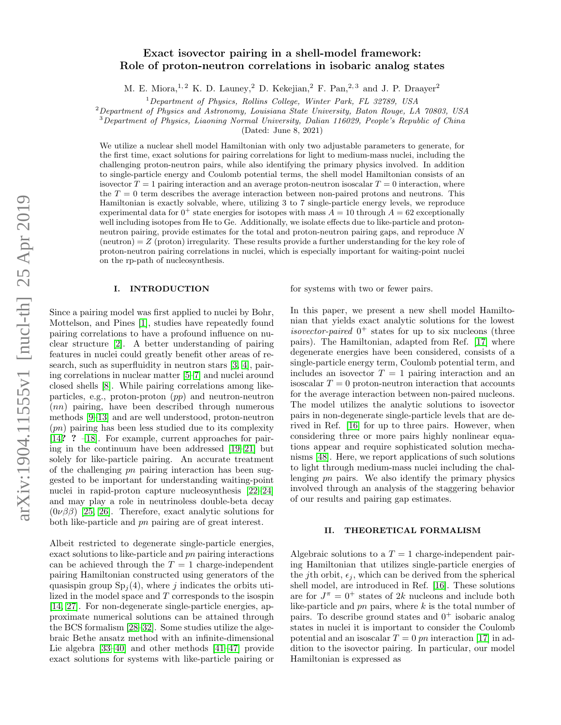## Exact isovector pairing in a shell-model framework: Role of proton-neutron correlations in isobaric analog states

M. E. Miora,<sup>1, 2</sup> K. D. Launey,<sup>2</sup> D. Kekejian,<sup>2</sup> F. Pan,<sup>2, 3</sup> and J. P. Draayer<sup>2</sup>

 $1$ Department of Physics, Rollins College, Winter Park, FL 32789, USA

 $2$  Department of Physics and Astronomy, Louisiana State University, Baton Rouge, LA 70803, USA

<sup>3</sup>Department of Physics, Liaoning Normal University, Dalian 116029, People's Republic of China

(Dated: June 8, 2021)

We utilize a nuclear shell model Hamiltonian with only two adjustable parameters to generate, for the first time, exact solutions for pairing correlations for light to medium-mass nuclei, including the challenging proton-neutron pairs, while also identifying the primary physics involved. In addition to single-particle energy and Coulomb potential terms, the shell model Hamiltonian consists of an isovector  $T = 1$  pairing interaction and an average proton-neutron isoscalar  $T = 0$  interaction, where the  $T = 0$  term describes the average interaction between non-paired protons and neutrons. This Hamiltonian is exactly solvable, where, utilizing 3 to 7 single-particle energy levels, we reproduce experimental data for  $0^+$  state energies for isotopes with mass  $A = 10$  through  $A = 62$  exceptionally well including isotopes from He to Ge. Additionally, we isolate effects due to like-particle and protonneutron pairing, provide estimates for the total and proton-neutron pairing gaps, and reproduce N  $(\text{neutron}) = Z (\text{proton})$  irregularity. These results provide a further understanding for the key role of proton-neutron pairing correlations in nuclei, which is especially important for waiting-point nuclei on the rp-path of nucleosynthesis.

### I. INTRODUCTION

Since a pairing model was first applied to nuclei by Bohr, Mottelson, and Pines [\[1\]](#page-10-0), studies have repeatedly found pairing correlations to have a profound influence on nuclear structure [\[2\]](#page-10-1). A better understanding of pairing features in nuclei could greatly benefit other areas of research, such as superfluidity in neutron stars [\[3,](#page-10-2) [4\]](#page-10-3), pairing correlations in nuclear matter [\[5–](#page-10-4)[7\]](#page-10-5) and nuclei around closed shells [\[8\]](#page-10-6). While pairing correlations among likeparticles, e.g., proton-proton (pp) and neutron-neutron (nn) pairing, have been described through numerous methods [\[9–](#page-10-7)[13\]](#page-10-8) and are well understood, proton-neutron  $(pn)$  pairing has been less studied due to its complexity [\[14](#page-10-9)? ? [–18\]](#page-10-10). For example, current approaches for pairing in the continuum have been addressed [\[19–](#page-10-11)[21\]](#page-10-12) but solely for like-particle pairing. An accurate treatment of the challenging pn pairing interaction has been suggested to be important for understanding waiting-point nuclei in rapid-proton capture nucleosynthesis [\[22](#page-10-13)[–24\]](#page-10-14) and may play a role in neutrinoless double-beta decay  $(0\nu\beta\beta)$  [\[25,](#page-10-15) [26\]](#page-10-16). Therefore, exact analytic solutions for both like-particle and pn pairing are of great interest.

Albeit restricted to degenerate single-particle energies, exact solutions to like-particle and pn pairing interactions can be achieved through the  $T = 1$  charge-independent pairing Hamiltonian constructed using generators of the quasispin group  $Sp<sub>i</sub>(4)$ , where j indicates the orbits utilized in the model space and T corresponds to the isospin [\[14,](#page-10-9) [27\]](#page-10-17). For non-degenerate single-particle energies, approximate numerical solutions can be attained through the BCS formalism [\[28–](#page-10-18)[32\]](#page-10-19). Some studies utilize the algebraic Bethe ansatz method with an infinite-dimensional Lie algebra [\[33–](#page-10-20)[40\]](#page-10-21) and other methods [\[41–](#page-10-22)[47\]](#page-10-23) provide exact solutions for systems with like-particle pairing or

for systems with two or fewer pairs.

In this paper, we present a new shell model Hamiltonian that yields exact analytic solutions for the lowest isovector-paired  $0^+$  states for up to six nucleons (three pairs). The Hamiltonian, adapted from Ref. [\[17\]](#page-10-24) where degenerate energies have been considered, consists of a single-particle energy term, Coulomb potential term, and includes an isovector  $T = 1$  pairing interaction and an isoscalar  $T = 0$  proton-neutron interaction that accounts for the average interaction between non-paired nucleons. The model utilizes the analytic solutions to isovector pairs in non-degenerate single-particle levels that are derived in Ref. [\[16\]](#page-10-25) for up to three pairs. However, when considering three or more pairs highly nonlinear equations appear and require sophisticated solution mechanisms [\[48\]](#page-10-26). Here, we report applications of such solutions to light through medium-mass nuclei including the challenging pn pairs. We also identify the primary physics involved through an analysis of the staggering behavior of our results and pairing gap estimates.

#### II. THEORETICAL FORMALISM

Algebraic solutions to a  $T = 1$  charge-independent pairing Hamiltonian that utilizes single-particle energies of the jth orbit,  $\epsilon_j$ , which can be derived from the spherical shell model, are introduced in Ref. [\[16\]](#page-10-25). These solutions are for  $J^{\pi} = 0^{+}$  states of 2k nucleons and include both like-particle and  $pn$  pairs, where  $k$  is the total number of pairs. To describe ground states and  $0^+$  isobaric analog states in nuclei it is important to consider the Coulomb potential and an isoscalar  $T = 0$  pn interaction [\[17\]](#page-10-24) in addition to the isovector pairing. In particular, our model Hamiltonian is expressed as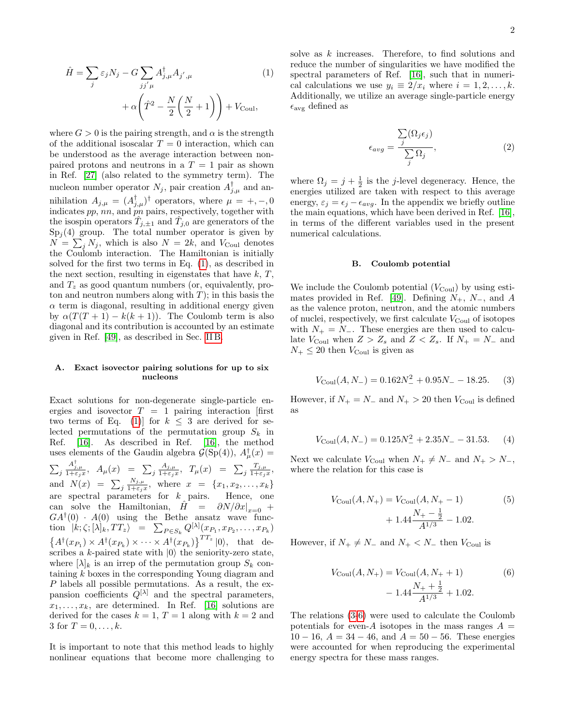<span id="page-2-0"></span>
$$
\hat{H} = \sum_{j} \varepsilon_{j} N_{j} - G \sum_{jj'\mu} A_{j,\mu}^{\dagger} A_{j',\mu}
$$
\n
$$
+ \alpha \left( \hat{T}^{2} - \frac{N}{2} \left( \frac{N}{2} + 1 \right) \right) + V_{\text{Coul}},
$$
\n(1)

where  $G > 0$  is the pairing strength, and  $\alpha$  is the strength of the additional isoscalar  $T = 0$  interaction, which can be understood as the average interaction between nonpaired protons and neutrons in a  $T = 1$  pair as shown in Ref. [\[27\]](#page-10-17) (also related to the symmetry term). The nucleon number operator  $N_j$ , pair creation  $A_{j,\mu}^{\dagger}$  and annihilation  $A_{j,\mu} = (A_{j,\mu}^{\dagger})^{\dagger}$  operators, where  $\mu = +, -, 0$ indicates  $pp$ ,  $nn$ , and  $\ddot{p}n$  pairs, respectively, together with the isospin operators  $\hat{T}_{j,\pm 1}$  and  $\hat{T}_{j,0}$  are generators of the  $Sp<sub>j</sub>(4)$  group. The total number operator is given by  $N = \sum_j N_j$ , which is also  $N = 2k$ , and  $V_{\text{Coul}}$  denotes the Coulomb interaction. The Hamiltonian is initially solved for the first two terms in Eq. [\(1\)](#page-2-0), as described in the next section, resulting in eigenstates that have  $k, T$ , and  $T<sub>z</sub>$  as good quantum numbers (or, equivalently, proton and neutron numbers along with  $T$ ); in this basis the  $\alpha$  term is diagonal, resulting in additional energy given by  $\alpha(T(T+1) - k(k+1))$ . The Coulomb term is also diagonal and its contribution is accounted by an estimate given in Ref. [\[49\]](#page-10-27), as described in Sec. [II B.](#page-2-1)

## A. Exact isovector pairing solutions for up to six nucleons

Exact solutions for non-degenerate single-particle energies and isovector  $T = 1$  pairing interaction [first] two terms of Eq. [\(1\)](#page-2-0) for  $k \leq 3$  are derived for selected permutations of the permutation group  $S_k$  in Ref. [\[16\]](#page-10-25). As described in Ref. [\[16\]](#page-10-25), the method uses elements of the Gaudin algebra  $\mathcal{G}(\text{Sp}(4)), A^{\dagger}_{\mu}(x) =$  $\sum_j$  $\frac{A^{\dagger}_{j,\mu}}{1+\varepsilon_jx},\;\;A_{\mu}(x)\;\;=\;\;\sum_j\frac{A_{j,\mu}}{1+\varepsilon_jx}$  $\frac{A_{j,\mu}}{1+\varepsilon_jx}$ ,  $T_{\mu}(x) = \sum_j \frac{T_{j,\mu}}{1+\varepsilon_j}$  $\frac{1_{j,\mu}}{1+\varepsilon_jx},$ and  $N(x) = \sum_j \frac{N_{j,\mu}}{1+\epsilon_j}$  $\frac{N_{j,\mu}}{1+\varepsilon_jx}$ , where  $x = \{x_1, x_2, \ldots, x_k\}$ are spectral parameters for  $k$  pairs. Hence, one can solve the Hamiltonian,  $\hat{H} = \partial N/\partial x|_{x=0} +$  $GA^{\dagger}(0)$  ·  $A(0)$  using the Bethe ansatz wave function  $|k; \zeta; [\lambda]_k, TT_z \rangle = \sum_{P \in S_k} Q^{[\lambda]}(x_{P_1}, x_{P_2}, \dots, x_{P_k})$  $\{A^{\dagger}(x_{P_1}) \times A^{\dagger}(x_{P_k}) \times \cdots \times A^{\dagger}(x_{P_k})\}^{TT_z} |0\rangle$ , that describes a k-paired state with  $|0\rangle$  the seniority-zero state, where  $[\lambda]_k$  is an irrep of the permutation group  $S_k$  containing k boxes in the corresponding Young diagram and P labels all possible permutations. As a result, the expansion coefficients  $Q^{[\lambda]}$  and the spectral parameters,  $x_1, \ldots, x_k$ , are determined. In Ref. [\[16\]](#page-10-25) solutions are derived for the cases  $k = 1, T = 1$  along with  $k = 2$  and 3 for  $T = 0, ..., k$ .

It is important to note that this method leads to highly nonlinear equations that become more challenging to solve as  $k$  increases. Therefore, to find solutions and reduce the number of singularities we have modified the spectral parameters of Ref. [\[16\]](#page-10-25), such that in numerical calculations we use  $y_i \equiv 2/x_i$  where  $i = 1, 2, \ldots, k$ . Additionally, we utilize an average single-particle energy  $\epsilon_{\text{avg}}$  defined as

$$
\epsilon_{avg} = \frac{\sum_{j} (\Omega_j \epsilon_j)}{\sum_{j} \Omega_j},
$$
\n(2)

where  $\Omega_j = j + \frac{1}{2}$  is the j-level degeneracy. Hence, the energies utilized are taken with respect to this average energy,  $\varepsilon_j = \epsilon_j - \epsilon_{avg}$ . In the appendix we briefly outline the main equations, which have been derived in Ref. [\[16\]](#page-10-25), in terms of the different variables used in the present numerical calculations.

#### <span id="page-2-1"></span>B. Coulomb potential

We include the Coulomb potential  $(V_{\text{Coul}})$  by using esti-mates provided in Ref. [\[49\]](#page-10-27). Defining  $N_+$ ,  $N_-$ , and A as the valence proton, neutron, and the atomic numbers of nuclei, respectively, we first calculate  $V_{\text{Coul}}$  of isotopes with  $N_+ = N_-.$  These energies are then used to calculate  $V_{\text{Coul}}$  when  $Z > Z_s$  and  $Z < Z_s$ . If  $N_+ = N_-$  and  $N_{+} \leq 20$  then  $V_{\text{Coul}}$  is given as

<span id="page-2-2"></span>
$$
V_{\text{Coul}}(A, N_{-}) = 0.162N_{-}^{2} + 0.95N_{-} - 18.25. \tag{3}
$$

However, if  $N_+ = N_-$  and  $N_+ > 20$  then  $V_{\text{Coul}}$  is defined as

$$
V_{\text{Coul}}(A, N_{-}) = 0.125N_{-}^{2} + 2.35N_{-} - 31.53. \tag{4}
$$

Next we calculate  $V_{\text{Coul}}$  when  $N_+ \neq N_-$  and  $N_+ > N_-,$ where the relation for this case is

$$
V_{\text{Coul}}(A, N_{+}) = V_{\text{Coul}}(A, N_{+} - 1)
$$
(5)  
+ 1.44  $\frac{N_{+} - \frac{1}{2}}{A^{1/3}} - 1.02$ .

However, if  $N_+ \neq N_-$  and  $N_+ < N_-$  then  $V_{\text{Coul}}$  is

<span id="page-2-3"></span>
$$
V_{\text{Coul}}(A, N_{+}) = V_{\text{Coul}}(A, N_{+} + 1)
$$
(6)  
- 1.44  $\frac{N_{+} + \frac{1}{2}}{A^{1/3}} + 1.02$ .

The relations [\(3-](#page-2-2)[6\)](#page-2-3) were used to calculate the Coulomb potentials for even-A isotopes in the mass ranges  $A =$  $10 - 16$ ,  $A = 34 - 46$ , and  $A = 50 - 56$ . These energies were accounted for when reproducing the experimental energy spectra for these mass ranges.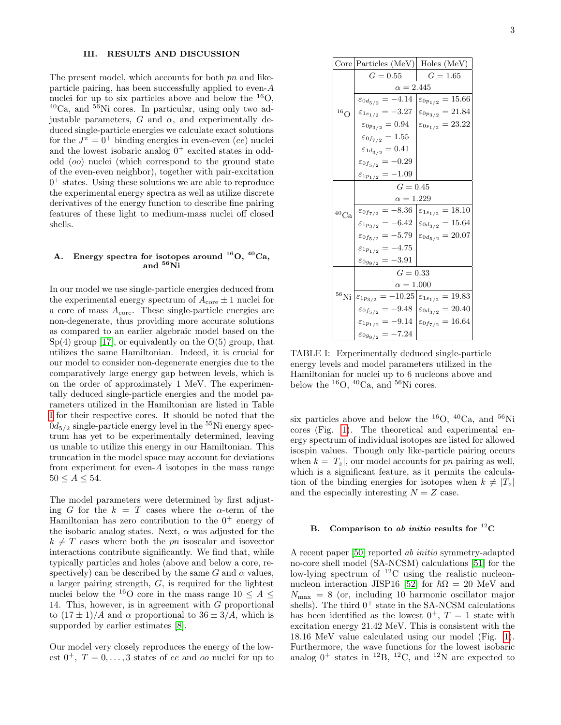## III. RESULTS AND DISCUSSION

The present model, which accounts for both pn and likeparticle pairing, has been successfully applied to even-A nuclei for up to six particles above and below the  $^{16}O$ ,  $^{40}Ca$ , and  $^{56}Ni$  cores. In particular, using only two adjustable parameters,  $G$  and  $\alpha$ , and experimentally deduced single-particle energies we calculate exact solutions for the  $J^{\pi} = 0^{+}$  binding energies in even-even (ee) nuclei and the lowest isobaric analog  $0^+$  excited states in oddodd (oo) nuclei (which correspond to the ground state of the even-even neighbor), together with pair-excitation 0 <sup>+</sup> states. Using these solutions we are able to reproduce the experimental energy spectra as well as utilize discrete derivatives of the energy function to describe fine pairing features of these light to medium-mass nuclei off closed shells.

## A. Energy spectra for isotopes around  $^{16}O$ ,  $^{40}Ca$ , and  $56\text{Ni}$

In our model we use single-particle energies deduced from the experimental energy spectrum of  $A_{\text{core}} \pm 1$  nuclei for a core of mass  $A_{\text{core}}$ . These single-particle energies are non-degenerate, thus providing more accurate solutions as compared to an earlier algebraic model based on the  $Sp(4)$  group [\[17\]](#page-10-24), or equivalently on the  $O(5)$  group, that utilizes the same Hamiltonian. Indeed, it is crucial for our model to consider non-degenerate energies due to the comparatively large energy gap between levels, which is on the order of approximately 1 MeV. The experimentally deduced single-particle energies and the model parameters utilized in the Hamiltonian are listed in Table [I](#page-3-0) for their respective cores. It should be noted that the  $0d_{5/2}$  single-particle energy level in the <sup>55</sup>Ni energy spectrum has yet to be experimentally determined, leaving us unable to utilize this energy in our Hamiltonian. This truncation in the model space may account for deviations from experiment for even- $A$  isotopes in the mass range  $50 \leq A \leq 54$ .

The model parameters were determined by first adjusting G for the  $k = T$  cases where the  $\alpha$ -term of the Hamiltonian has zero contribution to the  $0^+$  energy of the isobaric analog states. Next,  $\alpha$  was adjusted for the  $k \neq T$  cases where both the pn isoscalar and isovector interactions contribute significantly. We find that, while typically particles and holes (above and below a core, respectively) can be described by the same G and  $\alpha$  values, a larger pairing strength, G, is required for the lightest nuclei below the <sup>16</sup>O core in the mass range  $10 \leq A \leq$ 14. This, however, is in agreement with G proportional to  $(17 \pm 1)/A$  and  $\alpha$  proportional to  $36 \pm 3/A$ , which is supporded by earlier estimates [\[8\]](#page-10-6).

Our model very closely reproduces the energy of the lowest  $0^+$ ,  $T = 0, \ldots, 3$  states of ee and oo nuclei for up to

<span id="page-3-0"></span>

|            | $\text{Core}$ Particles (MeV) Holes (MeV)                                                           |  |
|------------|-----------------------------------------------------------------------------------------------------|--|
|            | $G = 0.55$   $G = 1.65$                                                                             |  |
|            | $\alpha = 2.445$                                                                                    |  |
| $^{16}$ O  | $\varepsilon_{0d_{5/2}} = -4.14 \left[ \varepsilon_{0p_{1/2}} \right] = 15.66$                      |  |
|            | $\varepsilon_{1s_{1/2}} = -3.27$ $\varepsilon_{0p_{3/2}} = 21.84$                                   |  |
|            | $\varepsilon_{0p_{3/2}} = 0.94$ $\varepsilon_{0s_{1/2}} = 23.22$                                    |  |
|            | $\varepsilon_{0f_{7/2}}=1.55$                                                                       |  |
|            | $\varepsilon_{1d_{3/2}}=0.41$                                                                       |  |
|            | $\varepsilon_{0f_{5/2}}=-0.29$                                                                      |  |
|            | $\varepsilon_{1p_{1/2}} = -1.09$                                                                    |  |
| $^{40}$ Ca | $G = 0.45$                                                                                          |  |
|            | $\alpha = 1.229$                                                                                    |  |
|            | $\varepsilon_{0f_{7/2}} = -8.36 \; \big  \varepsilon_{1s_{1/2}} = 18.10$                            |  |
|            | $\varepsilon_{1p_{3/2}} = -6.42 \left[ \varepsilon_{0d_{3/2}} \right] = 15.64$                      |  |
|            | $\varepsilon_{0f_{5/2}} = -5.79 \left[ \varepsilon_{0d_{5/2}} \right] = 20.07$                      |  |
|            | $\varepsilon_{1p_{1/2}}=-4.75$                                                                      |  |
|            | $\varepsilon_{0g_{9/2}} = -3.91$                                                                    |  |
|            | $G = 0.33$                                                                                          |  |
|            | $\alpha = 1.000$                                                                                    |  |
|            | $^{56}\text{Ni}\left \varepsilon_{1p_{3/2}}\right.=-10.25\left \varepsilon_{1s_{1/2}}\right.=19.83$ |  |
|            | $\varepsilon_{0f_{5/2}} = -9.48 \left[ \varepsilon_{0d_{3/2}} \right] = 20.40$                      |  |
|            | $\varepsilon_{1p_{1/2}} = -9.14 \left[ \varepsilon_{0f_{7/2}} \right] = 16.64$                      |  |
|            | $\varepsilon_{0g_{9/2}} = -7.24$                                                                    |  |

TABLE I: Experimentally deduced single-particle energy levels and model parameters utilized in the Hamiltonian for nuclei up to 6 nucleons above and below the  $^{16}O$ ,  $^{40}Ca$ , and  $^{56}Ni$  cores.

six particles above and below the <sup>16</sup>O, <sup>40</sup>Ca, and <sup>56</sup>Ni cores (Fig. [1\)](#page-4-0). The theoretical and experimental energy spectrum of individual isotopes are listed for allowed isospin values. Though only like-particle pairing occurs when  $k = |T_z|$ , our model accounts for pn pairing as well, which is a significant feature, as it permits the calculation of the binding energies for isotopes when  $k \neq |T_z|$ and the especially interesting  $N = Z$  case.

## B. Comparison to ab initio results for  ${}^{12}$ C

A recent paper [\[50\]](#page-10-28) reported ab initio symmetry-adapted no-core shell model (SA-NCSM) calculations [\[51\]](#page-10-29) for the low-lying spectrum of <sup>12</sup>C using the realistic nucleon-nucleon interaction JISP16 [\[52\]](#page-10-30) for  $\hbar\Omega = 20$  MeV and  $N_{\text{max}} = 8$  (or, including 10 harmonic oscillator major shells). The third  $0^+$  state in the SA-NCSM calculations has been identified as the lowest  $0^+$ ,  $T = 1$  state with excitation energy 21.42 MeV. This is consistent with the 18.16 MeV value calculated using our model (Fig. [1\)](#page-4-0). Furthermore, the wave functions for the lowest isobaric analog  $0^+$  states in <sup>12</sup>B, <sup>12</sup>C, and <sup>12</sup>N are expected to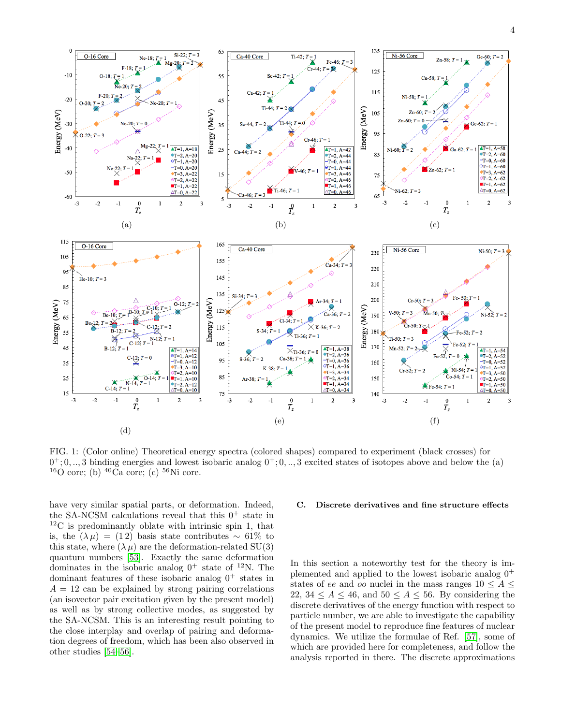<span id="page-4-0"></span>

FIG. 1: (Color online) Theoretical energy spectra (colored shapes) compared to experiment (black crosses) for  $0^{\text{+}};0,..,3$  binding energies and lowest isobaric analog  $0^{\text{+}};0,..,3$  excited states of isotopes above and below the (a)  $16$ O core; (b)  $40$ Ca core; (c)  $56$ Ni core.

have very similar spatial parts, or deformation. Indeed, the SA-NCSM calculations reveal that this  $0^+$  state in  $12^1$ C is predominantly oblate with intrinsic spin 1, that is, the  $(\lambda \mu) = (12)$  basis state contributes ~ 61% to this state, where  $(\lambda \mu)$  are the deformation-related SU(3) quantum numbers [\[53\]](#page-10-31). Exactly the same deformation dominates in the isobaric analog  $0^+$  state of <sup>12</sup>N. The dominant features of these isobaric analog  $0^+$  states in  $A = 12$  can be explained by strong pairing correlations (an isovector pair excitation given by the present model) as well as by strong collective modes, as suggested by the SA-NCSM. This is an interesting result pointing to the close interplay and overlap of pairing and deformation degrees of freedom, which has been also observed in other studies [\[54](#page-10-32)[–56\]](#page-10-33).

#### C. Discrete derivatives and fine structure effects

In this section a noteworthy test for the theory is implemented and applied to the lowest isobaric analog  $0^+$ states of ee and oo nuclei in the mass ranges  $10 \leq A \leq$ 22, 34  $\leq A \leq 46$ , and  $50 \leq A \leq 56$ . By considering the discrete derivatives of the energy function with respect to particle number, we are able to investigate the capability of the present model to reproduce fine features of nuclear dynamics. We utilize the formulae of Ref. [\[57\]](#page-10-34), some of which are provided here for completeness, and follow the analysis reported in there. The discrete approximations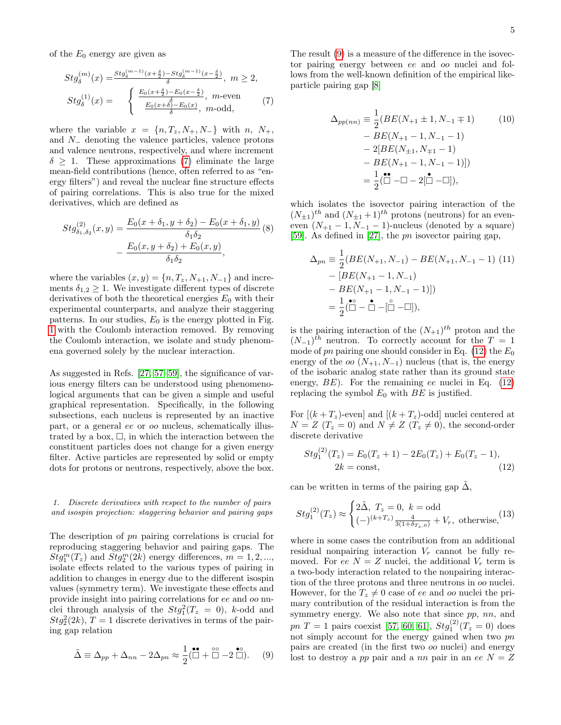of the  $E_0$  energy are given as

<span id="page-5-0"></span>
$$
Stg_{\delta}^{(m)}(x) = \frac{Stg_{\delta}^{(m-1)}(x+\frac{\delta}{2})-Stg_{\delta}^{(m-1)}(x-\frac{\delta}{2})}{\delta}, \ m \ge 2,
$$
  
\n
$$
Stg_{\delta}^{(1)}(x) = \begin{cases} \frac{E_0(x+\frac{\delta}{2})-E_0(x-\frac{\delta}{2})}{\delta}, \ m \text{-even} \\ \frac{E_0(x+\delta)-E_0(x)}{\delta}, \ m \text{-odd}, \end{cases} (7)
$$

where the variable  $x = \{n, T_z, N_+, N_-\}$  with  $n, N_+,$ and N<sup>−</sup> denoting the valence particles, valence protons and valence neutrons, respectively, and where increment  $\delta \geq 1$ . These approximations [\(7\)](#page-5-0) eliminate the large mean-field contributions (hence, often referred to as "energy filters") and reveal the nuclear fine structure effects of pairing correlations. This is also true for the mixed derivatives, which are defined as

$$
Stg_{\delta_1, \delta_2}^{(2)}(x, y) = \frac{E_0(x + \delta_1, y + \delta_2) - E_0(x + \delta_1, y)}{\delta_1 \delta_2} (8)
$$

$$
- \frac{E_0(x, y + \delta_2) + E_0(x, y)}{\delta_1 \delta_2},
$$

where the variables  $(x, y) = \{n, T_z, N_{+1}, N_{-1}\}\$ and increments  $\delta_{1,2} \geq 1$ . We investigate different types of discrete derivatives of both the theoretical energies  $E_0$  with their experimental counterparts, and analyze their staggering patterns. In our studies,  $E_0$  is the energy plotted in Fig. [1](#page-4-0) with the Coulomb interaction removed. By removing the Coulomb interaction, we isolate and study phenomena governed solely by the nuclear interaction.

As suggested in Refs. [\[27,](#page-10-17) [57–](#page-10-34)[59\]](#page-10-35), the significance of various energy filters can be understood using phenomenological arguments that can be given a simple and useful graphical representation. Specifically, in the following subsections, each nucleus is represented by an inactive part, or a general ee or oo nucleus, schematically illustrated by a box,  $\Box$ , in which the interaction between the constituent particles does not change for a given energy filter. Active particles are represented by solid or empty dots for protons or neutrons, respectively, above the box.

1. Discrete derivatives with respect to the number of pairs and isospin projection: staggering behavior and pairing gaps

The description of pn pairing correlations is crucial for reproducing staggering behavior and pairing gaps. The  $Stg_1^m(T_z)$  and  $Stg_2^m(2k)$  energy differences,  $m = 1, 2, ...,$ isolate effects related to the various types of pairing in addition to changes in energy due to the different isospin values (symmetry term). We investigate these effects and provide insight into pairing correlations for ee and oo nuclei through analysis of the  $Stg_1^2(T_z = 0)$ , k-odd and  $Stg_2^2(2k)$ ,  $T=1$  discrete derivatives in terms of the pairing gap relation

<span id="page-5-1"></span>
$$
\tilde{\Delta} \equiv \Delta_{pp} + \Delta_{nn} - 2\Delta_{pn} \approx \frac{1}{2} (\stackrel{\bullet \bullet}{\Box} + \stackrel{\circ \circ}{\Box} - 2 \stackrel{\bullet \circ}{\Box}). \tag{9}
$$

The result [\(9\)](#page-5-1) is a measure of the difference in the isovector pairing energy between ee and oo nuclei and follows from the well-known definition of the empirical likeparticle pairing gap [\[8\]](#page-10-6)

<span id="page-5-4"></span>
$$
\Delta_{pp(nn)} \equiv \frac{1}{2} (BE(N_{+1} \pm 1, N_{-1} \mp 1) \qquad (10)
$$

$$
- BE(N_{+1} - 1, N_{-1} - 1)
$$

$$
- 2[BE(N_{\pm 1}, N_{\mp 1} - 1) - BE(N_{+1} - 1, N_{-1} - 1)])
$$

$$
= \frac{1}{2} (\stackrel{\bullet}{\Box} - \Box - 2[\stackrel{\bullet}{\Box} - \Box]),
$$

which isolates the isovector pairing interaction of the  $(N_{\pm 1})^{th}$  and  $(N_{\pm 1} + 1)^{th}$  protons (neutrons) for an eveneven  $(N_{+1} - 1, N_{-1} - 1)$ -nucleus (denoted by a square) [\[59\]](#page-10-35). As defined in [\[27\]](#page-10-17), the pn isovector pairing gap,

<span id="page-5-2"></span>
$$
\Delta_{pn} \equiv \frac{1}{2} (BE(N_{+1}, N_{-1}) - BE(N_{+1}, N_{-1} - 1) (11)
$$

$$
- [BE(N_{+1} - 1, N_{-1})
$$

$$
- BE(N_{+1} - 1, N_{-1} - 1)])
$$

$$
= \frac{1}{2} (\overset{\bullet}{\Box} - \overset{\bullet}{\Box} - \overset{\bullet}{\Box} - [\overset{\circ}{\Box} - \Box]),
$$

is the pairing interaction of the  $(N_{+1})^{th}$  proton and the  $(N_{-1})$ <sup>th</sup> neutron. To correctly account for the  $T = 1$ mode of pn pairing one should consider in Eq.  $(12)$  the  $E_0$ energy of the *oo*  $(N_{+1}, N_{-1})$  nucleus (that is, the energy of the isobaric analog state rather than its ground state energy,  $BE$ ). For the remaining ee nuclei in Eq. [\(12\)](#page-5-3) replacing the symbol  $E_0$  with  $BE$  is justified.

For  $[(k+T_z)$ -even] and  $[(k+T_z)$ -odd] nuclei centered at  $N = Z$  ( $T_z = 0$ ) and  $N \neq Z$  ( $T_z \neq 0$ ), the second-order discrete derivative

<span id="page-5-3"></span>
$$
Stg_1^{(2)}(T_z) = E_0(T_z + 1) - 2E_0(T_z) + E_0(T_z - 1),
$$
  
2k = const, (12)

can be written in terms of the pairing gap  $\Delta$ ,

$$
Stg_1^{(2)}(T_z) \approx \begin{cases} 2\tilde{\Delta}, T_z = 0, k = \text{odd} \\ (-)^{(k+T_z)} \frac{4}{3(1+\delta_{T_z,0})} + V_r, \text{ otherwise,} \end{cases}
$$
 (13)

where in some cases the contribution from an additional residual nonpairing interaction  $V_r$  cannot be fully removed. For ee  $N = Z$  nuclei, the additional  $V_r$  term is a two-body interaction related to the nonpairing interaction of the three protons and three neutrons in oo nuclei. However, for the  $T_z \neq 0$  case of ee and oo nuclei the primary contribution of the residual interaction is from the symmetry energy. We also note that since  $pp$ ,  $nn$ , and  $pn T = 1$  pairs coexist [\[57,](#page-10-34) [60,](#page-10-36) [61\]](#page-10-37),  $Stg_1^{(2)}(T_z = 0)$  does not simply account for the energy gained when two pn pairs are created (in the first two oo nuclei) and energy lost to destroy a pp pair and a nn pair in an ee  $N = Z$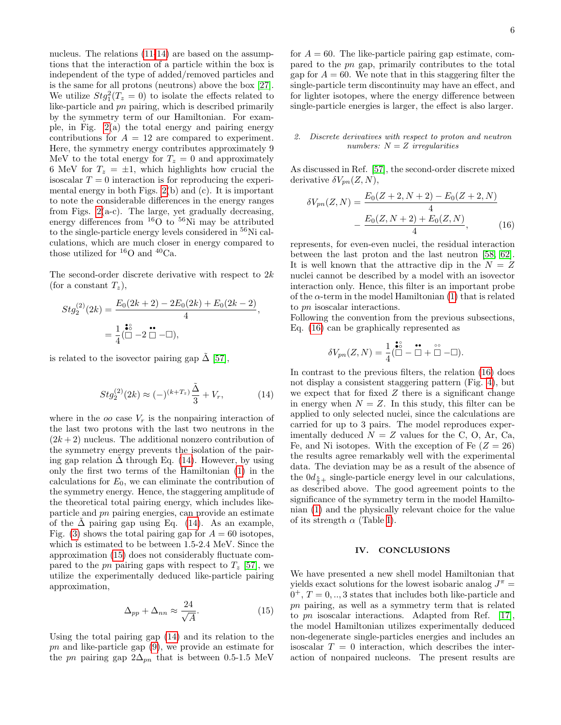nucleus. The relations  $(11-14)$  $(11-14)$  are based on the assumptions that the interaction of a particle within the box is independent of the type of added/removed particles and is the same for all protons (neutrons) above the box [\[27\]](#page-10-17). We utilize  $Stg_1^2(T_z=0)$  to isolate the effects related to like-particle and pn pairing, which is described primarily by the symmetry term of our Hamiltonian. For example, in Fig.  $2(a)$  the total energy and pairing energy contributions for  $A = 12$  are compared to experiment. Here, the symmetry energy contributes approximately 9 MeV to the total energy for  $T_z = 0$  and approximately 6 MeV for  $T_z = \pm 1$ , which highlights how crucial the isoscalar  $T = 0$  interaction is for reproducing the experimental energy in both Figs. [2\(](#page-7-0)b) and (c). It is important to note the considerable differences in the energy ranges from Figs.  $2(a-c)$ . The large, yet gradually decreasing, energy differences from  ${}^{16}O$  to  ${}^{56}Ni$  may be attributed to the single-particle energy levels considered in <sup>56</sup>Ni calculations, which are much closer in energy compared to those utilized for  ${}^{16}O$  and  ${}^{40}Ca$ .

The second-order discrete derivative with respect to 2k (for a constant  $T_z$ ),

<span id="page-6-0"></span>
$$
Stg_2^{(2)}(2k) = \frac{E_0(2k+2) - 2E_0(2k) + E_0(2k-2)}{4},
$$
  
=  $\frac{1}{4}(\stackrel{\bullet}{\Box} - 2\stackrel{\bullet}{\Box} - \Box),$ 

is related to the isovector pairing gap  $\tilde{\Delta}$  [\[57\]](#page-10-34),

$$
Stg_2^{(2)}(2k) \approx (-)^{(k+T_z)}\frac{\tilde{\Delta}}{3} + V_r, \tag{14}
$$

where in the *oo* case  $V_r$  is the nonpairing interaction of the last two protons with the last two neutrons in the  $(2k+2)$  nucleus. The additional nonzero contribution of the symmetry energy prevents the isolation of the pairing gap relation  $\Delta$  through Eq. [\(14\)](#page-6-0). However, by using only the first two terms of the Hamiltonian [\(1\)](#page-2-0) in the calculations for  $E_0$ , we can eliminate the contribution of the symmetry energy. Hence, the staggering amplitude of the theoretical total pairing energy, which includes likeparticle and pn pairing energies, can provide an estimate of the  $\Delta$  pairing gap using Eq. [\(14\)](#page-6-0). As an example, Fig. [\(3\)](#page-7-1) shows the total pairing gap for  $A = 60$  isotopes, which is estimated to be between 1.5-2.4 MeV. Since the approximation [\(15\)](#page-6-1) does not considerably fluctuate compared to the pn pairing gaps with respect to  $T<sub>z</sub>$  [\[57\]](#page-10-34), we utilize the experimentally deduced like-particle pairing approximation,

<span id="page-6-1"></span>
$$
\Delta_{pp} + \Delta_{nn} \approx \frac{24}{\sqrt{A}}.\tag{15}
$$

Using the total pairing gap [\(14\)](#page-6-0) and its relation to the pn and like-particle gap [\(9\)](#page-5-1), we provide an estimate for the pn pairing gap  $2\Delta_{pn}$  that is between 0.5-1.5 MeV

for  $A = 60$ . The like-particle pairing gap estimate, compared to the pn gap, primarily contributes to the total gap for  $A = 60$ . We note that in this staggering filter the single-particle term discontinuity may have an effect, and for lighter isotopes, where the energy difference between single-particle energies is larger, the effect is also larger.

## 2. Discrete derivatives with respect to proton and neutron numbers:  $N = Z$  irregularities

As discussed in Ref. [\[57\]](#page-10-34), the second-order discrete mixed derivative  $\delta V_{pn}(Z, N),$ 

<span id="page-6-2"></span>
$$
\delta V_{pn}(Z,N) = \frac{E_0(Z+2,N+2) - E_0(Z+2,N)}{4}
$$

$$
-\frac{E_0(Z,N+2) + E_0(Z,N)}{4},
$$
(16)

represents, for even-even nuclei, the residual interaction between the last proton and the last neutron [\[58,](#page-10-38) [62\]](#page-10-39). It is well known that the attractive dip in the  $N = Z$ nuclei cannot be described by a model with an isovector interaction only. Hence, this filter is an important probe of the  $\alpha$ -term in the model Hamiltonian [\(1\)](#page-2-0) that is related to pn isoscalar interactions.

Following the convention from the previous subsections, Eq. [\(16\)](#page-6-2) can be graphically represented as

$$
\delta V_{pn}(Z,N) = \frac{1}{4} \overbrace{(\square}^{\bullet 2} - \overbrace{\square}^{\bullet \bullet} + \overbrace{\square}^{\circ \circ} - \square).
$$

In contrast to the previous filters, the relation [\(16\)](#page-6-2) does not display a consistent staggering pattern (Fig. [4\)](#page-8-0), but we expect that for fixed  $Z$  there is a significant change in energy when  $N = Z$ . In this study, this filter can be applied to only selected nuclei, since the calculations are carried for up to 3 pairs. The model reproduces experimentally deduced  $N = Z$  values for the C, O, Ar, Ca, Fe, and Ni isotopes. With the exception of Fe  $(Z = 26)$ the results agree remarkably well with the experimental data. The deviation may be as a result of the absence of the  $0d_{\frac{5}{2}+}$  single-particle energy level in our calculations, as described above. The good agreement points to the significance of the symmetry term in the model Hamiltonian [\(1\)](#page-2-0) and the physically relevant choice for the value of its strength  $\alpha$  (Table [I\)](#page-3-0).

#### IV. CONCLUSIONS

We have presented a new shell model Hamiltonian that yields exact solutions for the lowest isobaric analog  $J^{\pi}$  =  $0^+$ ,  $T = 0, \ldots, 3$  states that includes both like-particle and pn pairing, as well as a symmetry term that is related to pn isoscalar interactions. Adapted from Ref. [\[17\]](#page-10-24), the model Hamiltonian utilizes experimentally deduced non-degenerate single-particles energies and includes an isoscalar  $T = 0$  interaction, which describes the interaction of nonpaired nucleons. The present results are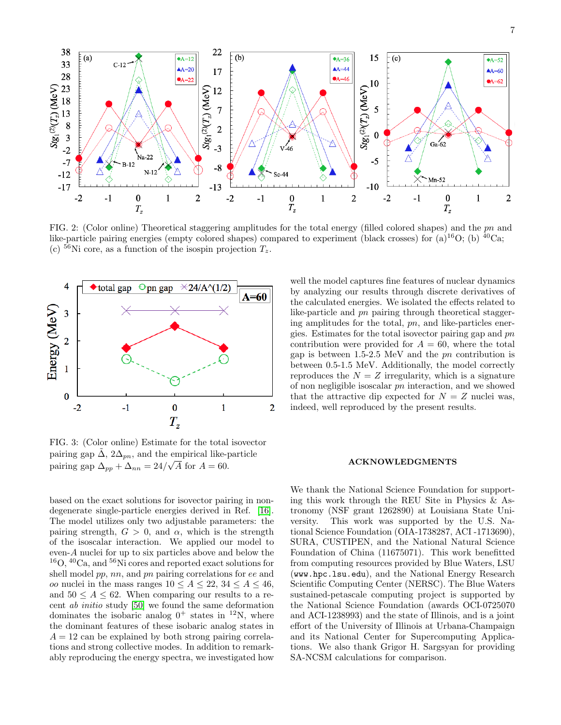<span id="page-7-0"></span>

FIG. 2: (Color online) Theoretical staggering amplitudes for the total energy (filled colored shapes) and the pn and like-particle pairing energies (empty colored shapes) compared to experiment (black crosses) for (a)<sup>16</sup>O; (b) <sup>40</sup>Ca; (c)  ${}^{56}$ Ni core, as a function of the isospin projection  $T_z$ .

<span id="page-7-1"></span>

FIG. 3: (Color online) Estimate for the total isovector pairing gap  $\tilde{\Delta}$ ,  $2\Delta_{pn}$ , and the empirical like-particle pairing gap  $\Delta_{pp} + \Delta_{nn} = 24/\sqrt{A}$  for  $A = 60$ .

based on the exact solutions for isovector pairing in nondegenerate single-particle energies derived in Ref. [\[16\]](#page-10-25). The model utilizes only two adjustable parameters: the pairing strength,  $G > 0$ , and  $\alpha$ , which is the strength of the isoscalar interaction. We applied our model to even-A nuclei for up to six particles above and below the <sup>16</sup>O, <sup>40</sup>Ca, and <sup>56</sup>Ni cores and reported exact solutions for shell model  $pp$ ,  $nn$ , and  $pn$  pairing correlations for  $ee$  and *oo* nuclei in the mass ranges  $10 \le A \le 22$ ,  $34 \le A \le 46$ , and  $50 \leq A \leq 62$ . When comparing our results to a recent ab initio study [\[50\]](#page-10-28) we found the same deformation dominates the isobaric analog  $0^+$  states in <sup>12</sup>N, where the dominant features of these isobaric analog states in  $A = 12$  can be explained by both strong pairing correlations and strong collective modes. In addition to remarkably reproducing the energy spectra, we investigated how

well the model captures fine features of nuclear dynamics by analyzing our results through discrete derivatives of the calculated energies. We isolated the effects related to like-particle and pn pairing through theoretical staggering amplitudes for the total, pn, and like-particles energies. Estimates for the total isovector pairing gap and pn contribution were provided for  $A = 60$ , where the total gap is between 1.5-2.5 MeV and the pn contribution is between 0.5-1.5 MeV. Additionally, the model correctly reproduces the  $N = Z$  irregularity, which is a signature of non negligible isoscalar pn interaction, and we showed that the attractive dip expected for  $N = Z$  nuclei was, indeed, well reproduced by the present results.

#### ACKNOWLEDGMENTS

We thank the National Science Foundation for supporting this work through the REU Site in Physics & Astronomy (NSF grant 1262890) at Louisiana State University. This work was supported by the U.S. National Science Foundation (OIA-1738287, ACI -1713690), SURA, CUSTIPEN, and the National Natural Science Foundation of China (11675071). This work benefitted from computing resources provided by Blue Waters, LSU (www.hpc.lsu.edu), and the National Energy Research Scientific Computing Center (NERSC). The Blue Waters sustained-petascale computing project is supported by the National Science Foundation (awards OCI-0725070 and ACI-1238993) and the state of Illinois, and is a joint effort of the University of Illinois at Urbana-Champaign and its National Center for Supercomputing Applications. We also thank Grigor H. Sargsyan for providing SA-NCSM calculations for comparison.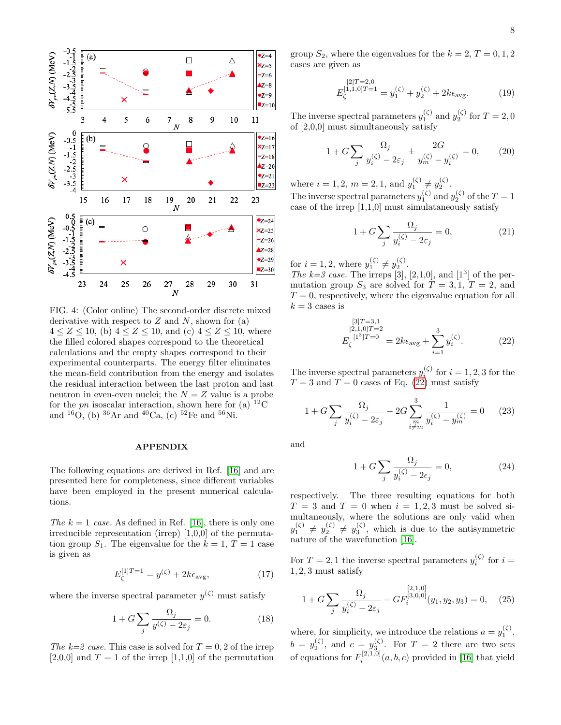<span id="page-8-0"></span>

FIG. 4: (Color online) The second-order discrete mixed derivative with respect to  $Z$  and  $N$ , shown for  $(a)$  $4 \le Z \le 10$ , (b)  $4 \le Z \le 10$ , and (c)  $4 \le Z \le 10$ , where the filled colored shapes correspond to the theoretical calculations and the empty shapes correspond to their experimental counterparts. The energy filter eliminates the mean-field contribution from the energy and isolates the residual interaction between the last proton and last neutron in even-even nuclei; the  $N = Z$  value is a probe for the pn isoscalar interaction, shown here for (a)  ${}^{12}$ C and  ${}^{16}O$ , (b)  ${}^{36}Ar$  and  ${}^{40}Ca$ , (c)  ${}^{52}Fe$  and  ${}^{56}Ni$ .

#### APPENDIX

The following equations are derived in Ref. [\[16\]](#page-10-25) and are presented here for completeness, since different variables have been employed in the present numerical calculations.

The  $k = 1$  case. As defined in Ref. [\[16\]](#page-10-25), there is only one irreducible representation (irrep) [1,0,0] of the permutation group  $S_1$ . The eigenvalue for the  $k = 1, T = 1$  case is given as

$$
E_{\zeta}^{[1]T=1} = y^{(\zeta)} + 2k\epsilon_{\text{avg}},\tag{17}
$$

where the inverse spectral parameter  $y^{(\zeta)}$  must satisfy

$$
1 + G \sum_{j} \frac{\Omega_j}{y^{(\zeta)} - 2\varepsilon_j} = 0.
$$
 (18)

The  $k=2$  case. This case is solved for  $T=0, 2$  of the irrep  $[2,0,0]$  and  $T = 1$  of the irrep  $[1,1,0]$  of the permutation group  $S_2$ , where the eigenvalues for the  $k = 2, T = 0, 1, 2$ cases are given as

$$
E_{\zeta}^{[2]T=2,0} = y_1^{(\zeta)} + y_2^{(\zeta)} + 2k\epsilon_{\text{avg}}.
$$
 (19)

The inverse spectral parameters  $y_1^{(\zeta)}$  and  $y_2^{(\zeta)}$  for  $T = 2, 0$ of [2,0,0] must simultaneously satisfy

$$
1 + G \sum_{j} \frac{\Omega_j}{y_i^{(\zeta)} - 2\varepsilon_j} \pm \frac{2G}{y_m^{(\zeta)} - y_i^{(\zeta)}} = 0, \qquad (20)
$$

where  $i = 1, 2, m = 2, 1, \text{ and } y_1^{(\zeta)} \neq y_2^{(\zeta)}$ .

The inverse spectral parameters  $y_1^{(\zeta)}$  and  $y_2^{(\zeta)}$  of the  $T = 1$ case of the irrep  $[1,1,0]$  must simulataneously satisfy

$$
1 + G \sum_{j} \frac{\Omega_j}{y_i^{(\zeta)} - 2\varepsilon_j} = 0,\tag{21}
$$

for  $i = 1, 2$ , where  $y_1^{(\zeta)} \neq y_2^{(\zeta)}$ .

The  $k=3$  case. The irreps [3], [2,1,0], and [1<sup>3</sup>] of the permutation group  $S_3$  are solved for  $T = 3, 1, T = 2$ , and  $T = 0$ , respectively, where the eigenvalue equation for all  $k = 3$  cases is

<span id="page-8-1"></span>
$$
E_{\zeta}^{[3]T=3,1}
$$
  
\n
$$
E_{\zeta}^{[1^3]T=0} = 2k\epsilon_{\text{avg}} + \sum_{i=1}^{3} y_i^{(\zeta)}.
$$
\n(22)

The inverse spectral parameters  $y_i^{(\zeta)}$  for  $i = 1, 2, 3$  for the  $T = 3$  and  $T = 0$  cases of Eq. [\(22\)](#page-8-1) must satisfy

$$
1 + G \sum_{j} \frac{\Omega_j}{y_i^{(\zeta)} - 2\varepsilon_j} - 2G \sum_{\substack{m \\ i \neq m}}^3 \frac{1}{y_i^{(\zeta)} - y_m^{(\zeta)}} = 0 \qquad (23)
$$

and

$$
1 + G \sum_{j} \frac{\Omega_j}{y_i^{(\zeta)} - 2\epsilon_j} = 0,\tag{24}
$$

respectively. The three resulting equations for both  $T = 3$  and  $T = 0$  when  $i = 1, 2, 3$  must be solved simultaneously, where the solutions are only valid when  $y_1^{(\zeta)} \neq y_2^{(\zeta)} \neq y_3^{(\zeta)}$ , which is due to the antisymmetric nature of the wavefunction [\[16\]](#page-10-25).

For  $T = 2, 1$  the inverse spectral parameters  $y_i^{(\zeta)}$  for  $i =$ 1, 2, 3 must satisfy

<span id="page-8-2"></span>
$$
1 + G \sum_{j} \frac{\Omega_j}{y_i^{(\zeta)} - 2\varepsilon_j} - G F_i^{[3,0,0]}(y_1, y_2, y_3) = 0, \quad (25)
$$

where, for simplicity, we introduce the relations  $a = y_1^{(\zeta)}$ ,  $b = y_2^{(\zeta)}$ , and  $c = y_3^{(\zeta)}$ . For  $T = 2$  there are two sets of equations for  $F_i^{[2,1,0]}(a, b, c)$  provided in [\[16\]](#page-10-25) that yield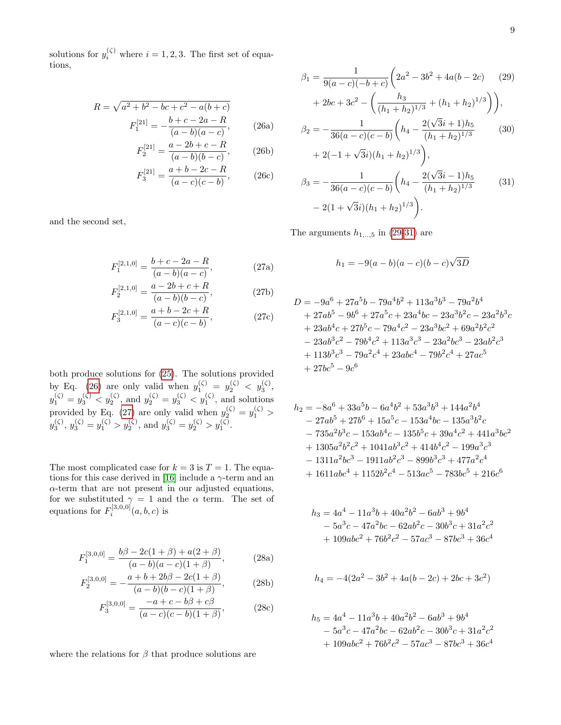<span id="page-9-0"></span>solutions for  $y_i^{(\zeta)}$  where  $i = 1, 2, 3$ . The first set of equations,

$$
R = \sqrt{a^2 + b^2 - bc + c^2 - a(b + c)}
$$

$$
F_1^{[21]} = -\frac{b + c - 2a - R}{(a - b)(a - c)},
$$
(26a)

$$
F_2^{[21]} = \frac{a - 2b + c - R}{(a - b)(b - c)},
$$
 (26b)

$$
F_3^{[21]} = \frac{a+b-2c-R}{(a-c)(c-b)},
$$
 (26c)

and the second set,

<span id="page-9-1"></span>
$$
F_1^{[2,1,0]} = \frac{b+c-2a-R}{(a-b)(a-c)},
$$
\n(27a)

$$
F_2^{[2,1,0]} = \frac{a - 2b + c + R}{(a - b)(b - c)},
$$
\n(27b)

$$
F_3^{[2,1,0]} = \frac{a+b-2c+R}{(a-c)(c-b)},
$$
\n(27c)

both produce solutions for [\(25\)](#page-8-2). The solutions provided by Eq. [\(26\)](#page-9-0) are only valid when  $y_1^{(\zeta)} = y_2^{(\zeta)} < y_3^{(\zeta)}$ ,  $y_1^{(\zeta)} = y_3^{(\zeta)} < y_2^{(\zeta)}$ , and  $y_2^{(\zeta)} = y_3^{(\zeta)} < y_1^{(\zeta)}$ , and solutions provided by Eq. [\(27\)](#page-9-1) are only valid when  $y_2^{(\zeta)} = y_1^{(\zeta)} >$  $y_3^{(\zeta)}, y_3^{(\zeta)} = y_1^{(\zeta)} > y_2^{(\zeta)}, \text{ and } y_3^{(\zeta)} = y_2^{(\zeta)} > y_1^{(\zeta)}.$ 

The most complicated case for  $k = 3$  is  $T = 1$ . The equa-tions for this case derived in [\[16\]](#page-10-25) include a  $\gamma$ -term and an  $\alpha$ -term that are not present in our adjusted equations, for we substituted  $\gamma = 1$  and the  $\alpha$  term. The set of equations for  $F_i^{[3,0,0]}(a,b,c)$  is

$$
F_1^{[3,0,0]} = \frac{b\beta - 2c(1+\beta) + a(2+\beta)}{(a-b)(a-c)(1+\beta)},
$$
\n(28a)

$$
F_2^{[3,0,0]} = -\frac{a+b+2b\beta-2c(1+\beta)}{(a-b)(b-c)(1+\beta)},
$$
 (28b)

$$
F_3^{[3,0,0]} = \frac{-a + c - b\beta + c\beta}{(a - c)(c - b)(1 + \beta)},
$$
 (28c)

where the relations for  $\beta$  that produce solutions are

<span id="page-9-2"></span>
$$
\beta_1 = \frac{1}{9(a-c)(-b+c)} \left( 2a^2 - 3b^2 + 4a(b-2c) \right) \tag{29}
$$

$$
+ 2bc + 3c^2 - \left( \frac{h_3}{(h_1 + h_2)^{1/3}} + (h_1 + h_2)^{1/3} \right) \right),
$$

$$
\beta_2 = -\frac{1}{36(a-c)(c-b)} \left( h_4 - \frac{2(\sqrt{3}i+1)h_5}{(h_1 + h_2)^{1/3}} \right) \tag{30}
$$

$$
+ 2(-1+\sqrt{3}i)(h_1 + h_2)^{1/3} \right),
$$

$$
\beta_3 = -\frac{1}{36(a-c)(c-b)} \left( h_4 - \frac{2(\sqrt{3}i-1)h_5}{(h_1 + h_2)^{1/3}} \right) \tag{31}
$$

$$
- 2(1+\sqrt{3}i)(h_1 + h_2)^{1/3} \right).
$$

The arguments  $h_{1,\dots,5}$  in [\(29-31\)](#page-9-2) are

$$
h_1 = -9(a - b)(a - c)(b - c)\sqrt{3D}
$$

$$
D = -9a^{6} + 27a^{5}b - 79a^{4}b^{2} + 113a^{3}b^{3} - 79a^{2}b^{4}
$$
  
+ 27ab<sup>5</sup> - 9b<sup>6</sup> + 27a<sup>5</sup>c + 23a<sup>4</sup>bc - 23a<sup>3</sup>b<sup>2</sup>c - 23a<sup>2</sup>b<sup>3</sup>c  
+ 23ab<sup>4</sup>c + 27b<sup>5</sup>c - 79a<sup>4</sup>c<sup>2</sup> - 23a<sup>3</sup>bc<sup>2</sup> + 69a<sup>2</sup>b<sup>2</sup>c<sup>2</sup>  
- 23ab<sup>3</sup>c<sup>2</sup> - 79b<sup>4</sup>c<sup>2</sup> + 113a<sup>3</sup>c<sup>3</sup> - 23a<sup>2</sup>bc<sup>3</sup> - 23ab<sup>2</sup>c<sup>3</sup>  
+ 113b<sup>3</sup>c<sup>3</sup> - 79a<sup>2</sup>c<sup>4</sup> + 23abc<sup>4</sup> - 79b<sup>2</sup>c<sup>4</sup> + 27ac<sup>5</sup>  
+ 27bc<sup>5</sup> - 9c<sup>6</sup>

$$
h_2 = -8a^6 + 33a^5b - 6a^4b^2 + 53a^3b^3 + 144a^2b^4
$$
  
\n
$$
- 27ab^5 + 27b^6 + 15a^5c - 153a^4bc - 135a^3b^2c
$$
  
\n
$$
- 735a^2b^3c - 153ab^4c - 135b^5c + 39a^4c^2 + 441a^3bc^2
$$
  
\n
$$
+ 1305a^2b^2c^2 + 1041ab^3c^2 + 414b^4c^2 - 199a^3c^3
$$
  
\n
$$
- 1311a^2bc^3 - 1911ab^2c^3 - 899b^3c^3 + 477a^2c^4
$$
  
\n
$$
+ 1611abc^4 + 1152b^2c^4 - 513ac^5 - 783bc^5 + 216c^6
$$

$$
h_3 = 4a^4 - 11a^3b + 40a^2b^2 - 6ab^3 + 9b^4
$$
  
- 5a<sup>3</sup>c - 47a<sup>2</sup>bc - 62ab<sup>2</sup>c - 30b<sup>3</sup>c + 31a<sup>2</sup>c<sup>2</sup>  
+ 109abc<sup>2</sup> + 76b<sup>2</sup>c<sup>2</sup> - 57ac<sup>3</sup> - 87bc<sup>3</sup> + 36c<sup>4</sup>

$$
h_4 = -4(2a^2 - 3b^2 + 4a(b - 2c) + 2bc + 3c^2)
$$

$$
h_5 = 4a^4 - 11a^3b + 40a^2b^2 - 6ab^3 + 9b^4
$$
  
- 5a<sup>3</sup>c - 47a<sup>2</sup>bc - 62ab<sup>2</sup>c - 30b<sup>3</sup>c + 31a<sup>2</sup>c<sup>2</sup>  
+ 109abc<sup>2</sup> + 76b<sup>2</sup>c<sup>2</sup> - 57ac<sup>3</sup> - 87bc<sup>3</sup> + 36c<sup>4</sup>